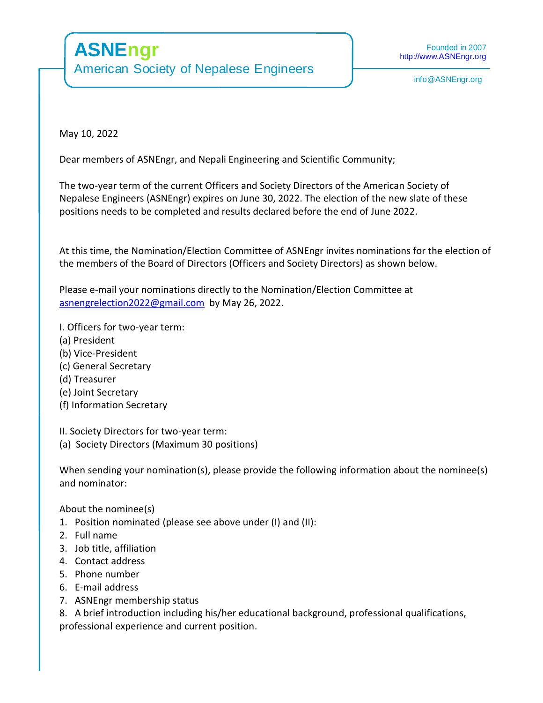May 10, 2022

Dear members of ASNEngr, and Nepali Engineering and Scientific Community;

The two-year term of the current Officers and Society Directors of the American Society of Nepalese Engineers (ASNEngr) expires on June 30, 2022. The election of the new slate of these positions needs to be completed and results declared before the end of June 2022.

At this time, the Nomination/Election Committee of ASNEngr invites nominations for the election of the members of the Board of Directors (Officers and Society Directors) as shown below.

Please e-mail your nominations directly to the Nomination/Election Committee at [asnengrelection2022@gmail.com](mailto:asnengrelection2022@gmail.com) by May 26, 2022.

I. Officers for two-year term:

- (a) President
- (b) Vice-President
- (c) General Secretary
- (d) Treasurer
- (e) Joint Secretary
- (f) Information Secretary

II. Society Directors for two-year term:

(a) Society Directors (Maximum 30 positions)

When sending your nomination(s), please provide the following information about the nominee(s) and nominator:

About the nominee(s)

- 1. Position nominated (please see above under (I) and (II):
- 2. Full name
- 3. Job title, affiliation
- 4. Contact address
- 5. Phone number
- 6. E-mail address
- 7. ASNEngr membership status

8. A brief introduction including his/her educational background, professional qualifications, professional experience and current position.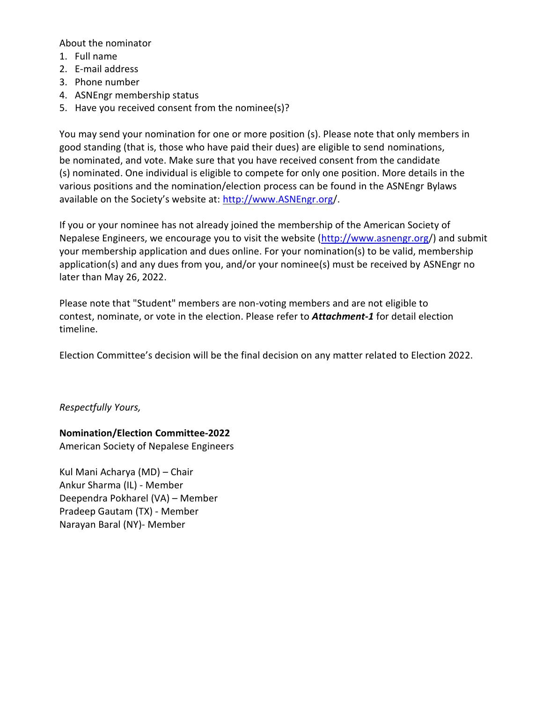About the nominator

- 1. Full name
- 2. E-mail address
- 3. Phone number
- 4. ASNEngr membership status
- 5. Have you received consent from the nominee(s)?

You may send your nomination for one or more position (s). Please note that only members in good standing (that is, those who have paid their dues) are eligible to send nominations, be nominated, and vote. Make sure that you have received consent from the candidate (s) nominated. One individual is eligible to compete for only one position. More details in the various positions and the nomination/election process can be found in the ASNEngr Bylaws available on the Society's website at: [http://www.ASNEngr.org/](http://www.asnengr.org/).

If you or your nominee has not already joined the membership of the American Society of Nepalese Engineers, we encourage you to visit the website  $(\frac{http://www.asnengr.org/}{amp;no:csnengr.org/})$  and submit your membership application and dues online. For your nomination(s) to be valid, membership application(s) and any dues from you, and/or your nominee(s) must be received by ASNEngr no later than May 26, 2022.

Please note that "Student" members are non-voting members and are not eligible to contest, nominate, or vote in the election. Please refer to *Attachment-1* for detail election timeline.

Election Committee's decision will be the final decision on any matter related to Election 2022.

*Respectfully Yours,*

## **Nomination/Election Committee-2022**

American Society of Nepalese Engineers

Kul Mani Acharya (MD) – Chair Ankur Sharma (IL) - Member Deependra Pokharel (VA) – Member Pradeep Gautam (TX) - Member Narayan Baral (NY)- Member